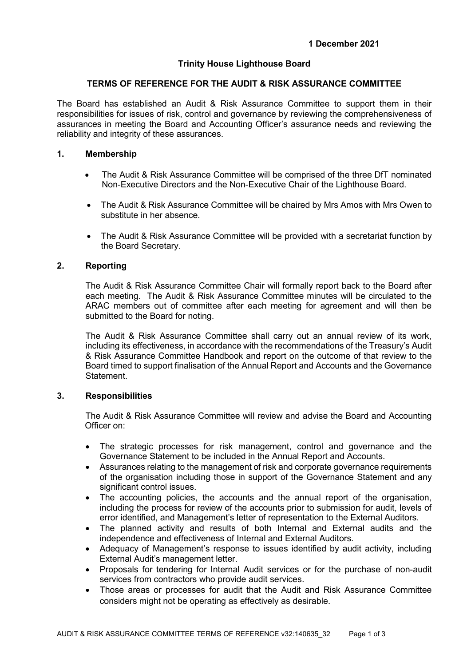# **Trinity House Lighthouse Board**

# **TERMS OF REFERENCE FOR THE AUDIT & RISK ASSURANCE COMMITTEE**

The Board has established an Audit & Risk Assurance Committee to support them in their responsibilities for issues of risk, control and governance by reviewing the comprehensiveness of assurances in meeting the Board and Accounting Officer's assurance needs and reviewing the reliability and integrity of these assurances.

### **1. Membership**

- The Audit & Risk Assurance Committee will be comprised of the three DfT nominated Non-Executive Directors and the Non-Executive Chair of the Lighthouse Board.
- The Audit & Risk Assurance Committee will be chaired by Mrs Amos with Mrs Owen to substitute in her absence.
- The Audit & Risk Assurance Committee will be provided with a secretariat function by the Board Secretary.

# **2. Reporting**

The Audit & Risk Assurance Committee Chair will formally report back to the Board after each meeting. The Audit & Risk Assurance Committee minutes will be circulated to the ARAC members out of committee after each meeting for agreement and will then be submitted to the Board for noting.

The Audit & Risk Assurance Committee shall carry out an annual review of its work, including its effectiveness, in accordance with the recommendations of the Treasury's Audit & Risk Assurance Committee Handbook and report on the outcome of that review to the Board timed to support finalisation of the Annual Report and Accounts and the Governance **Statement** 

# **3. Responsibilities**

The Audit & Risk Assurance Committee will review and advise the Board and Accounting Officer on:

- The strategic processes for risk management, control and governance and the Governance Statement to be included in the Annual Report and Accounts.
- Assurances relating to the management of risk and corporate governance requirements of the organisation including those in support of the Governance Statement and any significant control issues.
- The accounting policies, the accounts and the annual report of the organisation, including the process for review of the accounts prior to submission for audit, levels of error identified, and Management's letter of representation to the External Auditors.
- The planned activity and results of both Internal and External audits and the independence and effectiveness of Internal and External Auditors.
- Adequacy of Management's response to issues identified by audit activity, including External Audit's management letter.
- Proposals for tendering for Internal Audit services or for the purchase of non-audit services from contractors who provide audit services.
- Those areas or processes for audit that the Audit and Risk Assurance Committee considers might not be operating as effectively as desirable.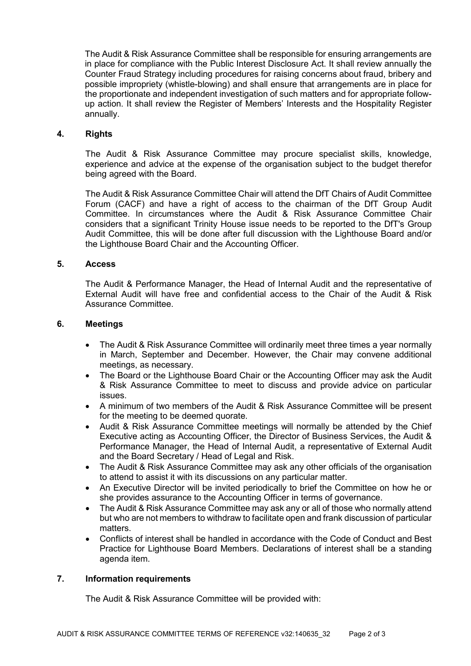The Audit & Risk Assurance Committee shall be responsible for ensuring arrangements are in place for compliance with the Public Interest Disclosure Act. It shall review annually the Counter Fraud Strategy including procedures for raising concerns about fraud, bribery and possible impropriety (whistle-blowing) and shall ensure that arrangements are in place for the proportionate and independent investigation of such matters and for appropriate followup action. It shall review the Register of Members' Interests and the Hospitality Register annually.

#### **4. Rights**

The Audit & Risk Assurance Committee may procure specialist skills, knowledge, experience and advice at the expense of the organisation subject to the budget therefor being agreed with the Board.

The Audit & Risk Assurance Committee Chair will attend the DfT Chairs of Audit Committee Forum (CACF) and have a right of access to the chairman of the DfT Group Audit Committee. In circumstances where the Audit & Risk Assurance Committee Chair considers that a significant Trinity House issue needs to be reported to the DfT's Group Audit Committee, this will be done after full discussion with the Lighthouse Board and/or the Lighthouse Board Chair and the Accounting Officer.

# **5. Access**

The Audit & Performance Manager, the Head of Internal Audit and the representative of External Audit will have free and confidential access to the Chair of the Audit & Risk Assurance Committee.

#### **6. Meetings**

- The Audit & Risk Assurance Committee will ordinarily meet three times a year normally in March, September and December. However, the Chair may convene additional meetings, as necessary.
- The Board or the Lighthouse Board Chair or the Accounting Officer may ask the Audit & Risk Assurance Committee to meet to discuss and provide advice on particular issues.
- A minimum of two members of the Audit & Risk Assurance Committee will be present for the meeting to be deemed quorate.
- Audit & Risk Assurance Committee meetings will normally be attended by the Chief Executive acting as Accounting Officer, the Director of Business Services, the Audit & Performance Manager, the Head of Internal Audit, a representative of External Audit and the Board Secretary / Head of Legal and Risk.
- The Audit & Risk Assurance Committee may ask any other officials of the organisation to attend to assist it with its discussions on any particular matter.
- An Executive Director will be invited periodically to brief the Committee on how he or she provides assurance to the Accounting Officer in terms of governance.
- The Audit & Risk Assurance Committee may ask any or all of those who normally attend but who are not members to withdraw to facilitate open and frank discussion of particular matters.
- Conflicts of interest shall be handled in accordance with the Code of Conduct and Best Practice for Lighthouse Board Members. Declarations of interest shall be a standing agenda item.

# **7. Information requirements**

The Audit & Risk Assurance Committee will be provided with: